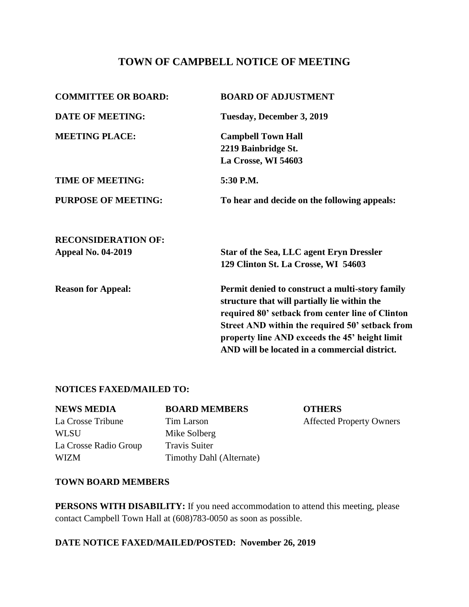# **TOWN OF CAMPBELL NOTICE OF MEETING**

| <b>COMMITTEE OR BOARD:</b> | <b>BOARD OF ADJUSTMENT</b>                                                                      |
|----------------------------|-------------------------------------------------------------------------------------------------|
| <b>DATE OF MEETING:</b>    | Tuesday, December 3, 2019                                                                       |
| <b>MEETING PLACE:</b>      | <b>Campbell Town Hall</b>                                                                       |
|                            | 2219 Bainbridge St.                                                                             |
|                            | La Crosse, WI 54603                                                                             |
| <b>TIME OF MEETING:</b>    | 5:30 P.M.                                                                                       |
| <b>PURPOSE OF MEETING:</b> | To hear and decide on the following appeals:                                                    |
| <b>RECONSIDERATION OF:</b> |                                                                                                 |
| <b>Appeal No. 04-2019</b>  | <b>Star of the Sea, LLC agent Eryn Dressler</b>                                                 |
|                            | 129 Clinton St. La Crosse, WI 54603                                                             |
| <b>Reason for Appeal:</b>  | Permit denied to construct a multi-story family<br>structure that will partially lie within the |
|                            | required 80' setback from center line of Clinton                                                |
|                            | Street AND within the required 50' setback from                                                 |
|                            | property line AND exceeds the 45' height limit                                                  |
|                            | AND will be located in a commercial district.                                                   |

### **NOTICES FAXED/MAILED TO:**

#### **NEWS MEDIA BOARD MEMBERS OTHERS**

WLSU Mike Solberg La Crosse Radio Group Travis Suiter WIZM Timothy Dahl (Alternate)

La Crosse Tribune Tim Larson Affected Property Owners

#### **TOWN BOARD MEMBERS**

**PERSONS WITH DISABILITY:** If you need accommodation to attend this meeting, please contact Campbell Town Hall at (608)783-0050 as soon as possible.

### **DATE NOTICE FAXED/MAILED/POSTED: November 26, 2019**